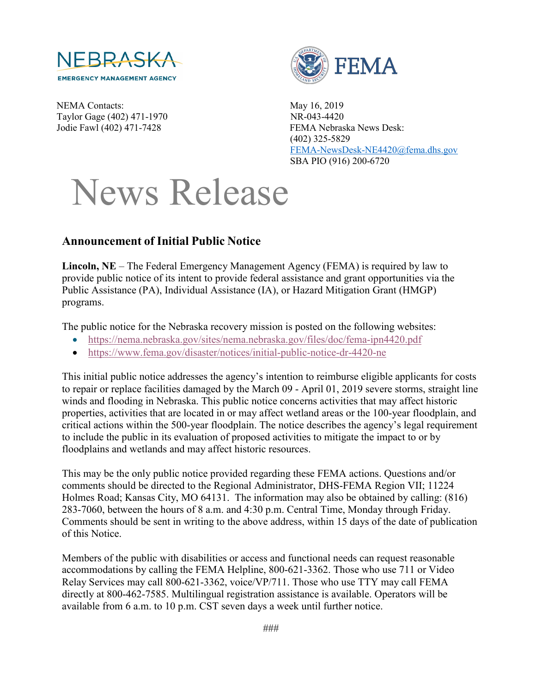

NEMA Contacts: May 16, 2019 Taylor Gage (402) 471-1970 NR-043-4420



Jodie Fawl (402) 471-7428 FEMA Nebraska News Desk: (402) 325-5829 [FEMA-NewsDesk-NE4420@fema.dhs.gov](mailto:FEMA-NewsDesk-NE4420@fema.dhs.gov) SBA PIO (916) 200-6720

## News Release

## **Announcement of Initial Public Notice**

**Lincoln, NE** – The Federal Emergency Management Agency (FEMA) is required by law to provide public notice of its intent to provide federal assistance and grant opportunities via the Public Assistance (PA), Individual Assistance (IA), or Hazard Mitigation Grant (HMGP) programs.

The public notice for the Nebraska recovery mission is posted on the following websites:

- <https://nema.nebraska.gov/sites/nema.nebraska.gov/files/doc/fema-ipn4420.pdf>
- <https://www.fema.gov/disaster/notices/initial-public-notice-dr-4420-ne>

This initial public notice addresses the agency's intention to reimburse eligible applicants for costs to repair or replace facilities damaged by the March 09 - April 01, 2019 severe storms, straight line winds and flooding in Nebraska. This public notice concerns activities that may affect historic properties, activities that are located in or may affect wetland areas or the 100-year floodplain, and critical actions within the 500-year floodplain. The notice describes the agency's legal requirement to include the public in its evaluation of proposed activities to mitigate the impact to or by floodplains and wetlands and may affect historic resources.

This may be the only public notice provided regarding these FEMA actions. Questions and/or comments should be directed to the Regional Administrator, DHS-FEMA Region VII; 11224 Holmes Road; Kansas City, MO 64131. The information may also be obtained by calling: (816) 283-7060, between the hours of 8 a.m. and 4:30 p.m. Central Time, Monday through Friday. Comments should be sent in writing to the above address, within 15 days of the date of publication of this Notice.

Members of the public with disabilities or access and functional needs can request reasonable accommodations by calling the FEMA Helpline, 800-621-3362. Those who use 711 or Video Relay Services may call 800-621-3362, voice/VP/711. Those who use TTY may call FEMA directly at 800-462-7585. Multilingual registration assistance is available. Operators will be available from 6 a.m. to 10 p.m. CST seven days a week until further notice.